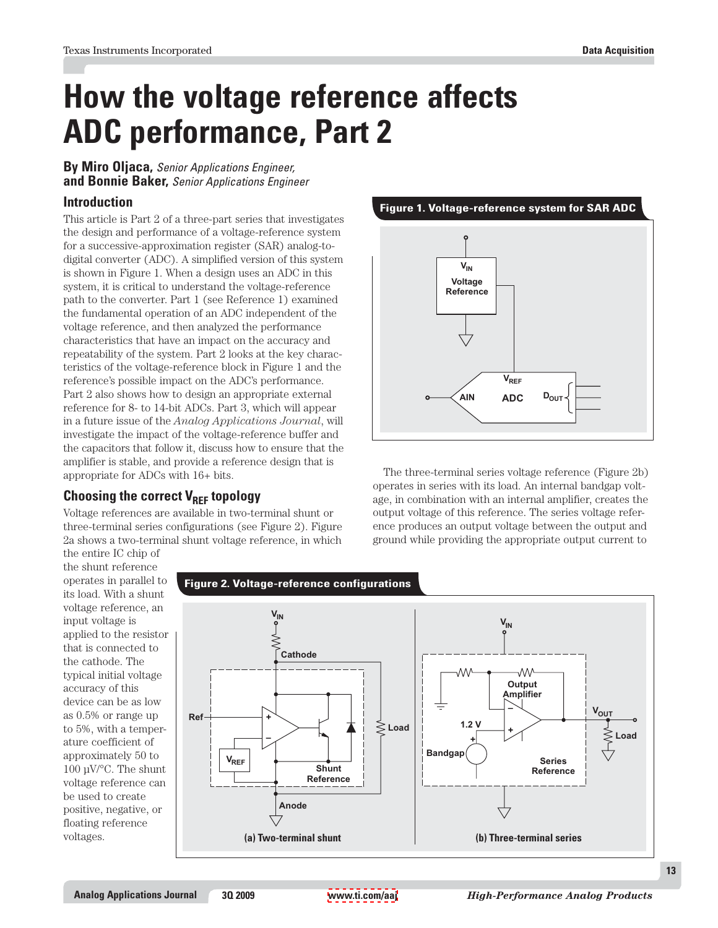# **How the voltage reference affects ADC performance, Part 2**

**By Miro Oljaca,** *Senior Applications Engineer,* **and Bonnie Baker,** *Senior Applications Engineer*

# **Introduction**

This article is Part 2 of a three-part series that investigates the design and performance of a voltage-reference system for a successive-approximation register (SAR) analog-todigital converter (ADC). A simplified version of this system is shown in Figure 1. When a design uses an ADC in this system, it is critical to understand the voltage-reference path to the converter. Part 1 (see Reference 1) examined the fundamental operation of an ADC independent of the voltage reference, and then analyzed the performance characteristics that have an impact on the accuracy and repeatability of the system. Part 2 looks at the key characteristics of the voltage-reference block in Figure 1 and the reference's possible impact on the ADC's performance. Part 2 also shows how to design an appropriate external reference for 8- to 14-bit ADCs. Part 3, which will appear in a future issue of the *Analog Applications Journal*, will investigate the impact of the voltage-reference buffer and the capacitors that follow it, discuss how to ensure that the amplifier is stable, and provide a reference design that is appropriate for ADCs with 16+ bits.

# **Choosing the correct V<sub>REF</sub> topology**

Voltage references are available in two-terminal shunt or three-terminal series configurations (see Figure 2). Figure 2a shows a two-terminal shunt voltage reference, in which the entire IC chip of



The three-terminal series voltage reference (Figure 2b) operates in series with its load. An internal bandgap voltage, in combination with an internal amplifier, creates the output voltage of this reference. The series voltage reference produces an output voltage between the output and ground while providing the appropriate output current to

the shunt reference operates in parallel to its load. With a shunt voltage reference, an input voltage is applied to the resistor that is connected to the cathode. The typical initial voltage accuracy of this device can be as low as 0.5% or range up to 5%, with a temperature coefficient of approximately 50 to 100  $\mu$ V/°C. The shunt voltage reference can be used to create positive, negative, or floating reference voltages.

#### **Figure 2. Voltage-reference configurations**

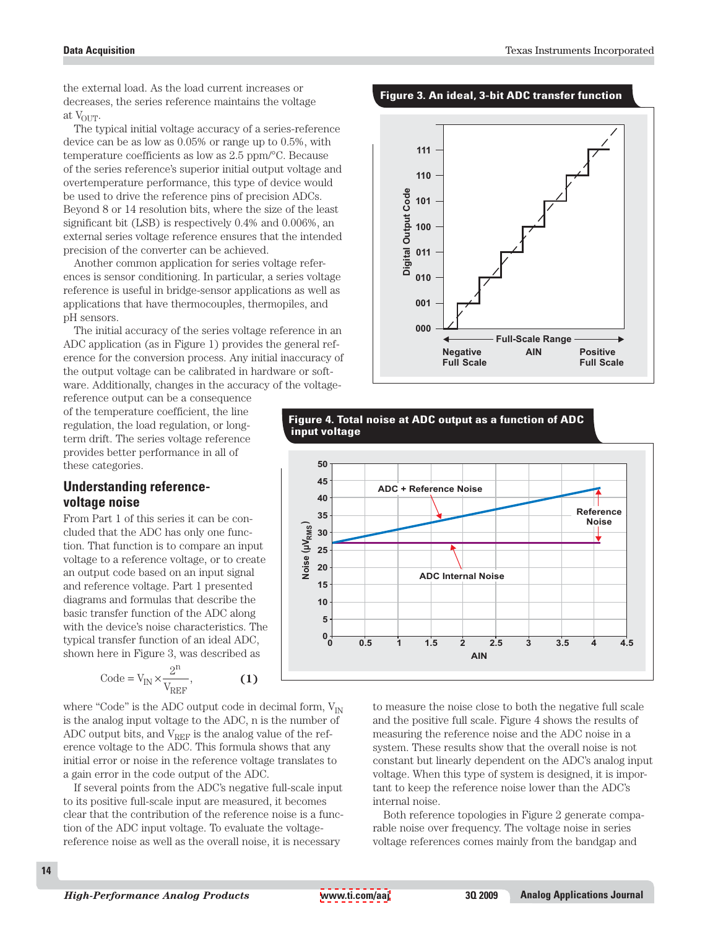the external load. As the load current increases or decreases, the series reference maintains the voltage at  $V_{\text{OUT}}$ .

The typical initial voltage accuracy of a series-reference device can be as low as 0.05% or range up to 0.5%, with temperature coefficients as low as 2.5 ppm/°C. Because of the series reference's superior initial output voltage and overtemperature performance, this type of device would be used to drive the reference pins of precision ADCs. Beyond 8 or 14 resolution bits, where the size of the least significant bit (LSB) is respectively 0.4% and 0.006%, an external series voltage reference ensures that the intended precision of the converter can be achieved.

Another common application for series voltage references is sensor conditioning. In particular, a series voltage reference is useful in bridge-sensor applications as well as applications that have thermocouples, thermopiles, and pH sensors.

The initial accuracy of the series voltage reference in an ADC application (as in Figure 1) provides the general reference for the conversion process. Any initial inaccuracy of the output voltage can be calibrated in hardware or software. Additionally, changes in the accuracy of the voltage-

reference output can be a consequence of the temperature coefficient, the line regulation, the load regulation, or longterm drift. The series voltage reference provides better performance in all of these categories.

# **Understanding referencevoltage noise**

From Part 1 of this series it can be concluded that the ADC has only one function. That function is to compare an input voltage to a reference voltage, or to create an output code based on an input signal and reference voltage. Part 1 presented diagrams and formulas that describe the basic transfer function of the ADC along with the device's noise characteristics. The typical transfer function of an ideal ADC, shown here in Figure 3, was described as

$$
Code = V_{IN} \times \frac{2^n}{V_{REF}},
$$
 (1)

where "Code" is the ADC output code in decimal form,  $V_{IN}$ is the analog input voltage to the ADC, n is the number of ADC output bits, and  $V_{REF}$  is the analog value of the reference voltage to the ADC. This formula shows that any initial error or noise in the reference voltage translates to a gain error in the code output of the ADC.

If several points from the ADC's negative full-scale input to its positive full-scale input are measured, it becomes clear that the contribution of the reference noise is a function of the ADC input voltage. To evaluate the voltagereference noise as well as the overall noise, it is necessary

**Figure 3. An ideal, 3-bit ADC transfer function**





to measure the noise close to both the negative full scale and the positive full scale. Figure 4 shows the results of measuring the reference noise and the ADC noise in a system. These results show that the overall noise is not constant but linearly dependent on the ADC's analog input voltage. When this type of system is designed, it is important to keep the reference noise lower than the ADC's internal noise.

Both reference topologies in Figure 2 generate comparable noise over frequency. The voltage noise in series voltage references comes mainly from the bandgap and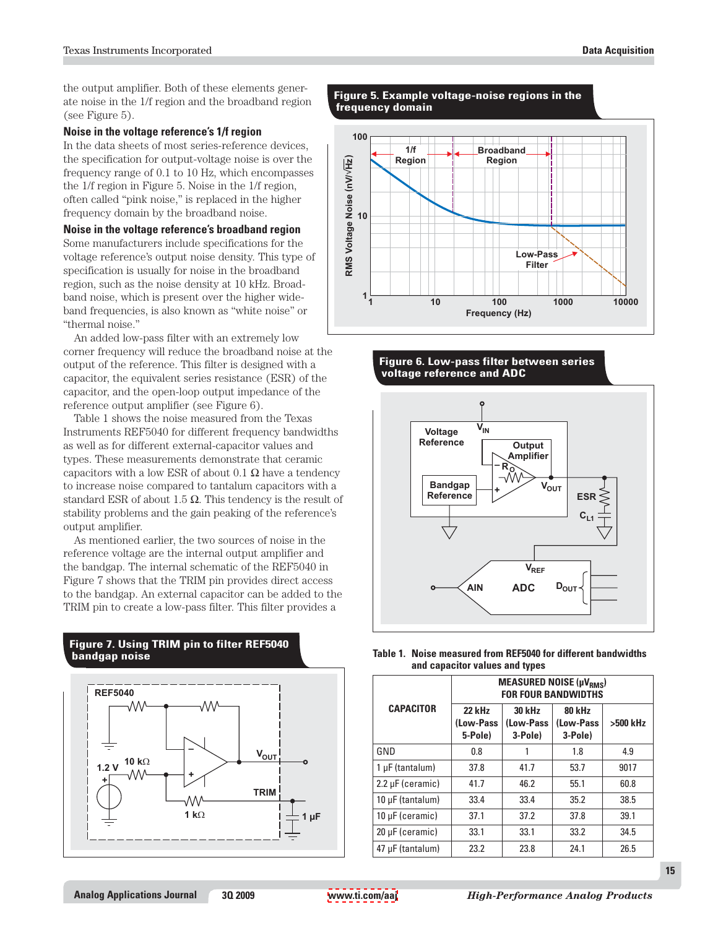"thermal noise."

the output amplifier. Both of these elements generate noise in the 1/f region and the broadband region (see Figure 5).

#### **Noise in the voltage reference's 1/f region**

In the data sheets of most series-reference devices, the specification for output-voltage noise is over the frequency range of 0.1 to 10 Hz, which encompasses the 1/f region in Figure 5. Noise in the 1/f region, often called "pink noise," is replaced in the higher frequency domain by the broadband noise.

#### **Noise in the voltage reference's broadband region** Some manufacturers include specifications for the voltage reference's output noise density. This type of specification is usually for noise in the broadband region, such as the noise density at 10 kHz. Broadband noise, which is present over the higher wideband frequencies, is also known as "white noise" or

An added low-pass filter with an extremely low corner frequency will reduce the broadband noise at the output of the reference. This filter is designed with a capacitor, the equivalent series resistance (ESR) of the capacitor, and the open-loop output impedance of the reference output amplifier (see Figure 6).

Table 1 shows the noise measured from the Texas Instruments REF5040 for different frequency bandwidths as well as for different external-capacitor values and types. These measurements demonstrate that ceramic capacitors with a low ESR of about 0.1  $\Omega$  have a tendency to increase noise compared to tantalum capacitors with a standard ESR of about 1.5  $\Omega$ . This tendency is the result of stability problems and the gain peaking of the reference's output amplifier.

As mentioned earlier, the two sources of noise in the reference voltage are the internal output amplifier and the bandgap. The internal schematic of the REF5040 in Figure 7 shows that the TRIM pin provides direct access to the bandgap. An external capacitor can be added to the TRIM pin to create a low-pass filter. This filter provides a

#### **Figure 7. Using TRIM pin to filter REF5040 bandgap noise**



# **100 Figure 5. Example voltage-noise regions in the frequency domain**



#### **Figure 6. Low-pass filter between series voltage reference and ADC**



#### **Table 1. Noise measured from REF5040 for different bandwidths and capacitor values and types**

|                       | <b>MEASURED NOISE (<math>\mu</math>V<sub>RMS</sub>)</b><br><b>FOR FOUR BANDWIDTHS</b> |                                |                                |          |
|-----------------------|---------------------------------------------------------------------------------------|--------------------------------|--------------------------------|----------|
| <b>CAPACITOR</b>      | 22 kHz<br>(Low-Pass<br>5-Pole)                                                        | 30 kHz<br>(Low-Pass<br>3-Pole) | 80 kHz<br>(Low-Pass<br>3-Pole) | >500 kHz |
| GND                   | 0.8                                                                                   |                                | 1.8                            | 4.9      |
| 1 µF (tantalum)       | 37.8                                                                                  | 41.7                           | 53.7                           | 9017     |
| $2.2 \mu$ F (ceramic) | 41.7                                                                                  | 46.2                           | 55.1                           | 60.8     |
| 10 µF (tantalum)      | 33.4                                                                                  | 33.4                           | 35.2                           | 38.5     |
| 10 µF (ceramic)       | 37.1                                                                                  | 37.2                           | 37.8                           | 39.1     |
| 20 µF (ceramic)       | 33.1                                                                                  | 33.1                           | 33.2                           | 34.5     |
| 47 µF (tantalum)      | 23.2                                                                                  | 23.8                           | 24.1                           | 26.5     |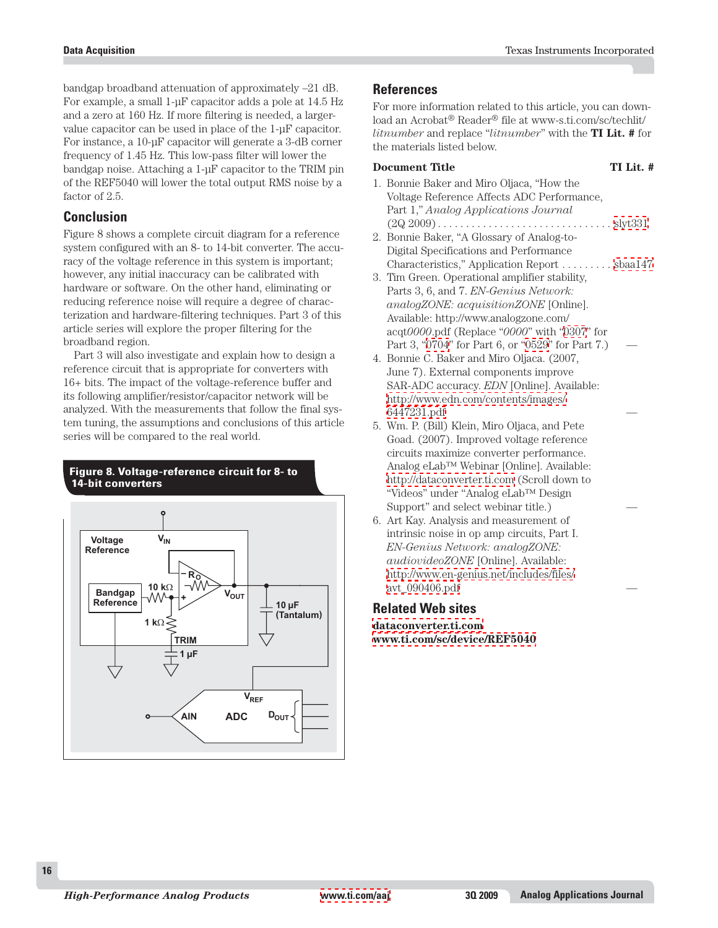bandgap broadband attenuation of approximately –21 dB. For example, a small 1-µF capacitor adds a pole at 14.5 Hz and a zero at 160 Hz. If more filtering is needed, a largervalue capacitor can be used in place of the 1-µF capacitor. For instance, a 10-µF capacitor will generate a 3-dB corner frequency of 1.45 Hz. This low-pass filter will lower the bandgap noise. Attaching a 1-µF capacitor to the TRIM pin of the REF5040 will lower the total output RMS noise by a factor of 2.5.

# **Conclusion**

Figure 8 shows a complete circuit diagram for a reference system configured with an 8- to 14-bit converter. The accuracy of the voltage reference in this system is important; however, any initial inaccuracy can be calibrated with hardware or software. On the other hand, eliminating or reducing reference noise will require a degree of characterization and hardware-filtering techniques. Part 3 of this article series will explore the proper filtering for the broadband region.

Part 3 will also investigate and explain how to design a reference circuit that is appropriate for converters with 16+ bits. The impact of the voltage-reference buffer and its following amplifier/resistor/capacitor network will be analyzed. With the measurements that follow the final system tuning, the assumptions and conclusions of this article series will be compared to the real world.

#### **Figure 8. Voltage-reference circuit for 8- to 14-bit converters**



# **References**

For more information related to this article, you can download an Acrobat® Reader® file at www-s.ti.com/sc/techlit/ *litnumber* and replace "*litnumber*" with the **TI Lit. #** for the materials listed below.

#### **Document Title TI Lit. #**

- 1. Bonnie Baker and Miro Oljaca, "How the Voltage Reference Affects ADC Performance, Part 1," *Analog Applications Journal* (2Q 2009) . . [slyt331](http://www-s.ti.com/sc/techlit/slyt331)
- 2. Bonnie Baker, "A Glossary of Analog-to-Digital Specifications and Performance Characteristics," Application Report . . . . . . . . . [sbaa147](http://www-s.ti.com/sc/techlit/sbaa147)
- 3. Tim Green. Operational amplifier stability, Parts 3, 6, and 7. *EN-Genius Network: analogZONE: acquisitionZONE* [Online]. Available: http://www.analogzone.com/ acqt*0000*.pdf (Replace "*0000*" with "[0307](http://www.analogzone.com/acqt0307.pdf)" for Part 3, "[0704](http://www.analogzone.com/acqt0704.pdf)" for Part 6, or ["0529"](http://www.analogzone.com/acqt0529.pdf) for Part 7.)
- 4. Bonnie C. Baker and Miro Oljaca. (2007, June 7). External components improve SAR-ADC accuracy. *EDN* [Online]. Available: [http://www.edn.com/contents/images/](http://www.edn.com/contents/images/6447231.pdf) [6447231.pdf](http://www.edn.com/contents/images/6447231.pdf) —
- 5. Wm. P. (Bill) Klein, Miro Oljaca, and Pete Goad. (2007). Improved voltage reference circuits maximize converter performance. Analog eLab™ Webinar [Online]. Available: <http://dataconverter.ti.com>(Scroll down to "Videos" under "Analog eLab™ Design Support" and select webinar title.)
- 6. Art Kay. Analysis and measurement of intrinsic noise in op amp circuits, Part I. *EN-Genius Network: analogZONE: audiovideoZONE* [Online]. Available: [http://www.en-genius.net/includes/files/](http://www.en-genius.net/includes/files/avt_090406.pdf) [avt\\_090406.pdf](http://www.en-genius.net/includes/files/avt_090406.pdf) —

## **Related Web sites**

**[dataconverter.ti.com](http://dataconverter.ti.com) [www.ti.com/sc/device/REF5040](http://www.ti.com/sc/device/REF5040)**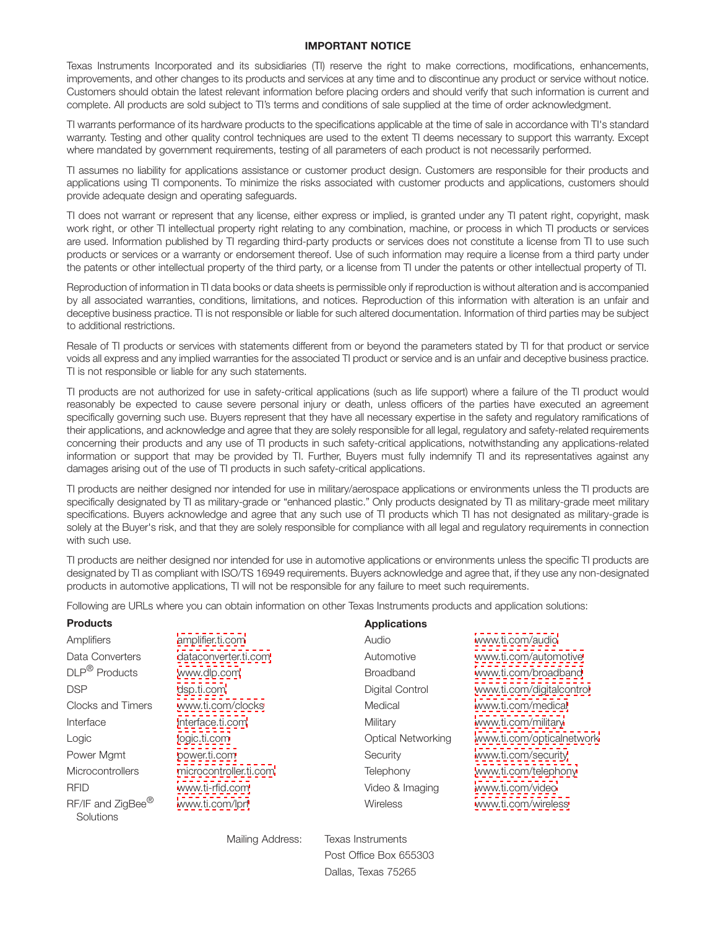#### IMPORTANT NOTICE

Texas Instruments Incorporated and its subsidiaries (TI) reserve the right to make corrections, modifications, enhancements, improvements, and other changes to its products and services at any time and to discontinue any product or service without notice. Customers should obtain the latest relevant information before placing orders and should verify that such information is current and complete. All products are sold subject to TI's terms and conditions of sale supplied at the time of order acknowledgment.

TI warrants performance of its hardware products to the specifications applicable at the time of sale in accordance with TI's standard warranty. Testing and other quality control techniques are used to the extent TI deems necessary to support this warranty. Except where mandated by government requirements, testing of all parameters of each product is not necessarily performed.

TI assumes no liability for applications assistance or customer product design. Customers are responsible for their products and applications using TI components. To minimize the risks associated with customer products and applications, customers should provide adequate design and operating safeguards.

TI does not warrant or represent that any license, either express or implied, is granted under any TI patent right, copyright, mask work right, or other TI intellectual property right relating to any combination, machine, or process in which TI products or services are used. Information published by TI regarding third-party products or services does not constitute a license from TI to use such products or services or a warranty or endorsement thereof. Use of such information may require a license from a third party under the patents or other intellectual property of the third party, or a license from TI under the patents or other intellectual property of TI.

Reproduction of information in TI data books or data sheets is permissible only if reproduction is without alteration and is accompanied by all associated warranties, conditions, limitations, and notices. Reproduction of this information with alteration is an unfair and deceptive business practice. TI is not responsible or liable for such altered documentation. Information of third parties may be subject to additional restrictions.

Resale of TI products or services with statements different from or beyond the parameters stated by TI for that product or service voids all express and any implied warranties for the associated TI product or service and is an unfair and deceptive business practice. TI is not responsible or liable for any such statements.

TI products are not authorized for use in safety-critical applications (such as life support) where a failure of the TI product would reasonably be expected to cause severe personal injury or death, unless officers of the parties have executed an agreement specifically governing such use. Buyers represent that they have all necessary expertise in the safety and regulatory ramifications of their applications, and acknowledge and agree that they are solely responsible for all legal, regulatory and safety-related requirements concerning their products and any use of TI products in such safety-critical applications, notwithstanding any applications-related information or support that may be provided by TI. Further, Buyers must fully indemnify TI and its representatives against any damages arising out of the use of TI products in such safety-critical applications.

TI products are neither designed nor intended for use in military/aerospace applications or environments unless the TI products are specifically designated by TI as military-grade or "enhanced plastic." Only products designated by TI as military-grade meet military specifications. Buyers acknowledge and agree that any such use of TI products which TI has not designated as military-grade is solely at the Buyer's risk, and that they are solely responsible for compliance with all legal and regulatory requirements in connection with such use.

TI products are neither designed nor intended for use in automotive applications or environments unless the specific TI products are designated by TI as compliant with ISO/TS 16949 requirements. Buyers acknowledge and agree that, if they use any non-designated products in automotive applications, TI will not be responsible for any failure to meet such requirements.

Following are URLs where you can obtain information on other Texas Instruments products and application solutions:

| <b>Products</b>                |                        | <b>Applications</b> |                           |
|--------------------------------|------------------------|---------------------|---------------------------|
| Amplifiers                     | amplifier.ti.com       | Audio               | www.ti.com/audio          |
| Data Converters                | dataconverter.ti.com   | Automotive          | www.ti.com/automotive     |
| $DLP^{\circledR}$ Products     | www.dlp.com            | <b>Broadband</b>    | www.ti.com/broadband      |
| <b>DSP</b>                     | dsp.ti.com             | Digital Control     | www.ti.com/digitalcontrol |
| Clocks and Timers              | www.ti.com/clocks      | Medical             | www.ti.com/medical        |
| Interface                      | interface.ti.com       | Military            | www.ti.com/military       |
| Logic                          | logic.ti.com           | Optical Networking  | www.ti.com/opticalnetwork |
| Power Mgmt                     | power.ti.com           | Security            | www.ti.com/security       |
| <b>Microcontrollers</b>        | microcontroller.ti.com | Telephony           | www.ti.com/telephony      |
| <b>RFID</b>                    | www.ti-rfid.com        | Video & Imaging     | www.ti.com/video          |
| RF/IF and ZigBee®<br>Solutions | www.ti.com/lprf        | Wireless            | www.ti.com/wireless       |

Mailing Address: Texas Instruments

Post Office Box 655303 Dallas, Texas 75265